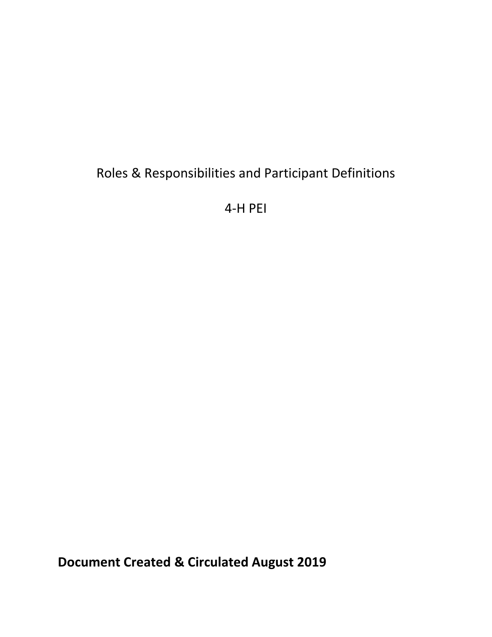# Roles & Responsibilities and Participant Definitions

4-H PEI

**Document Created & Circulated August 2019**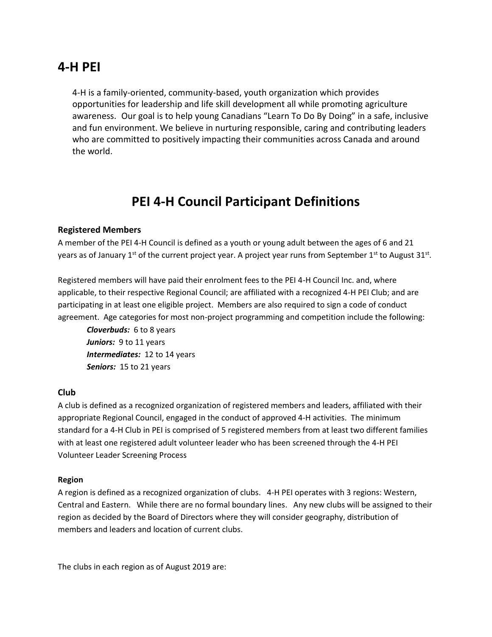# **4-H PEI**

4-H is a family-oriented, community-based, youth organization which provides opportunities for leadership and life skill development all while promoting agriculture awareness. Our goal is to help young Canadians "Learn To Do By Doing" in a safe, inclusive and fun environment. We believe in nurturing responsible, caring and contributing leaders who are committed to positively impacting their communities across Canada and around the world.

# **PEI 4-H Council Participant Definitions**

#### **Registered Members**

A member of the PEI 4-H Council is defined as a youth or young adult between the ages of 6 and 21 years as of January 1<sup>st</sup> of the current project year. A project year runs from September 1<sup>st</sup> to August 31<sup>st</sup>.

Registered members will have paid their enrolment fees to the PEI 4-H Council Inc. and, where applicable, to their respective Regional Council; are affiliated with a recognized 4-H PEI Club; and are participating in at least one eligible project. Members are also required to sign a code of conduct agreement. Age categories for most non-project programming and competition include the following:

*Cloverbuds:* 6 to 8 years Juniors: 9 to 11 years *Intermediates:* 12 to 14 years *Seniors:* 15 to 21 years

#### **Club**

A club is defined as a recognized organization of registered members and leaders, affiliated with their appropriate Regional Council, engaged in the conduct of approved 4-H activities. The minimum standard for a 4-H Club in PEI is comprised of 5 registered members from at least two different families with at least one registered adult volunteer leader who has been screened through the 4-H PEI Volunteer Leader Screening Process

#### **Region**

A region is defined as a recognized organization of clubs. 4-H PEI operates with 3 regions: Western, Central and Eastern. While there are no formal boundary lines. Any new clubs will be assigned to their region as decided by the Board of Directors where they will consider geography, distribution of members and leaders and location of current clubs.

The clubs in each region as of August 2019 are: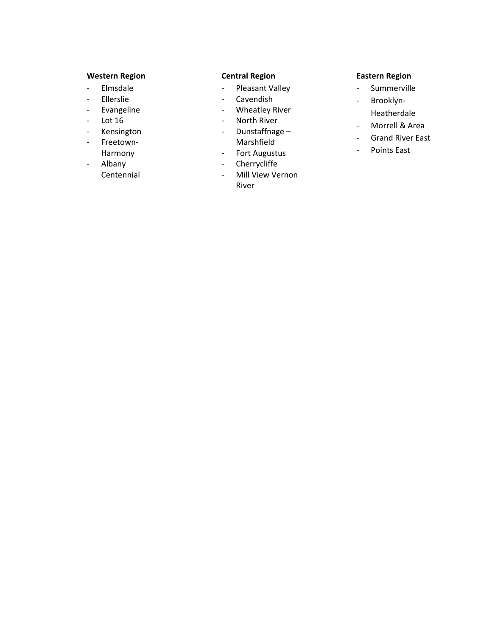### **Western Region**

- Elmsdale
- Ellerslie
- Evangeline
- Lot 16
- Kensington
- Freetown-Harmony
- Albany Centennial

## **Central Region**

- Pleasant Valley
- Cavendish
- Wheatley River
- North River
- Dunstaffnage Marshfield
- Fort Augustus
- Cherrycliffe
- Mill View Vernon River

### **Eastern Region**

- Summerville
- Brooklyn-Heatherdale
- Morrell & Area
- Grand River East
- Points East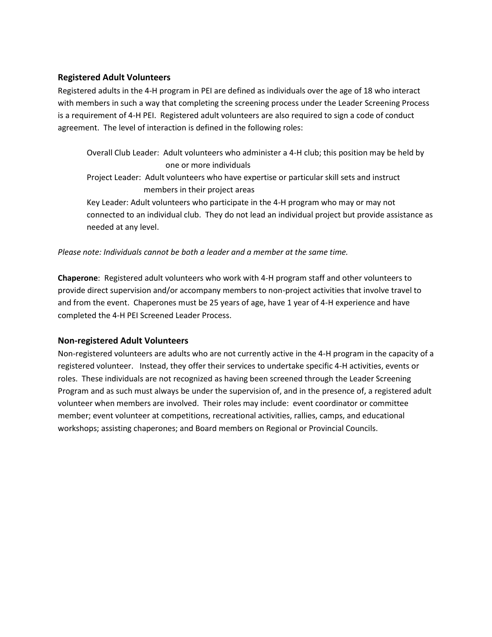#### **Registered Adult Volunteers**

Registered adults in the 4-H program in PEI are defined as individuals over the age of 18 who interact with members in such a way that completing the screening process under the Leader Screening Process is a requirement of 4-H PEI. Registered adult volunteers are also required to sign a code of conduct agreement. The level of interaction is defined in the following roles:

- Overall Club Leader: Adult volunteers who administer a 4-H club; this position may be held by one or more individuals
- Project Leader: Adult volunteers who have expertise or particular skill sets and instruct members in their project areas

Key Leader: Adult volunteers who participate in the 4-H program who may or may not connected to an individual club. They do not lead an individual project but provide assistance as needed at any level.

*Please note: Individuals cannot be both a leader and a member at the same time.*

**Chaperone**: Registered adult volunteers who work with 4-H program staff and other volunteers to provide direct supervision and/or accompany members to non-project activities that involve travel to and from the event. Chaperones must be 25 years of age, have 1 year of 4-H experience and have completed the 4-H PEI Screened Leader Process.

#### **Non-registered Adult Volunteers**

Non-registered volunteers are adults who are not currently active in the 4-H program in the capacity of a registered volunteer. Instead, they offer their services to undertake specific 4-H activities, events or roles. These individuals are not recognized as having been screened through the Leader Screening Program and as such must always be under the supervision of, and in the presence of, a registered adult volunteer when members are involved. Their roles may include: event coordinator or committee member; event volunteer at competitions, recreational activities, rallies, camps, and educational workshops; assisting chaperones; and Board members on Regional or Provincial Councils.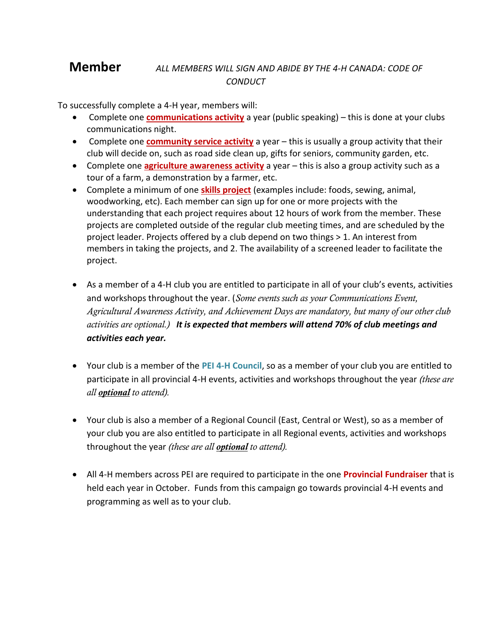# **Member** *ALL MEMBERS WILL SIGN AND ABIDE BY THE 4-H CANADA: CODE OF CONDUCT*

To successfully complete a 4-H year, members will:

- Complete one **communications activity** a year (public speaking) this is done at your clubs communications night.
- Complete one **community service activity** a year this is usually a group activity that their club will decide on, such as road side clean up, gifts for seniors, community garden, etc.
- Complete one **agriculture awareness activity** a year this is also a group activity such as a tour of a farm, a demonstration by a farmer, etc.
- Complete a minimum of one **skills project** (examples include: foods, sewing, animal, woodworking, etc). Each member can sign up for one or more projects with the understanding that each project requires about 12 hours of work from the member. These projects are completed outside of the regular club meeting times, and are scheduled by the project leader. Projects offered by a club depend on two things > 1. An interest from members in taking the projects, and 2. The availability of a screened leader to facilitate the project.
- As a member of a 4-H club you are entitled to participate in all of your club's events, activities and workshops throughout the year. (*Some events such as your Communications Event, Agricultural Awareness Activity, and Achievement Days are mandatory, but many of our other club activities are optional.) It is expected that members will attend 70% of club meetings and activities each year.*
- Your club is a member of the **PEI 4-H Council**, so as a member of your club you are entitled to participate in all provincial 4-H events, activities and workshops throughout the year *(these are all optional to attend).*
- Your club is also a member of a Regional Council (East, Central or West), so as a member of your club you are also entitled to participate in all Regional events, activities and workshops throughout the year *(these are all optional to attend).*
- All 4-H members across PEI are required to participate in the one **Provincial Fundraiser** that is held each year in October. Funds from this campaign go towards provincial 4-H events and programming as well as to your club.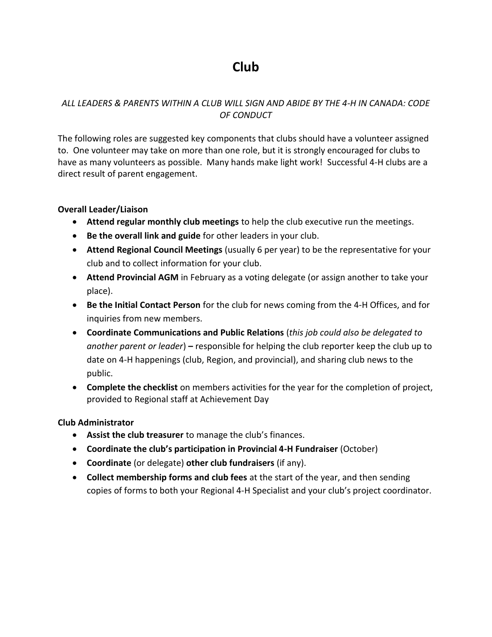# **Club**

# *ALL LEADERS & PARENTS WITHIN A CLUB WILL SIGN AND ABIDE BY THE 4-H IN CANADA: CODE OF CONDUCT*

The following roles are suggested key components that clubs should have a volunteer assigned to. One volunteer may take on more than one role, but it is strongly encouraged for clubs to have as many volunteers as possible. Many hands make light work! Successful 4-H clubs are a direct result of parent engagement.

## **Overall Leader/Liaison**

- **Attend regular monthly club meetings** to help the club executive run the meetings.
- **Be the overall link and guide** for other leaders in your club.
- **Attend Regional Council Meetings** (usually 6 per year) to be the representative for your club and to collect information for your club.
- **Attend Provincial AGM** in February as a voting delegate (or assign another to take your place).
- **Be the Initial Contact Person** for the club for news coming from the 4-H Offices, and for inquiries from new members.
- **Coordinate Communications and Public Relations** (*this job could also be delegated to another parent or leader*) **–** responsible for helping the club reporter keep the club up to date on 4-H happenings (club, Region, and provincial), and sharing club news to the public.
- **Complete the checklist** on members activities for the year for the completion of project, provided to Regional staff at Achievement Day

## **Club Administrator**

- **Assist the club treasurer** to manage the club's finances.
- **Coordinate the club's participation in Provincial 4-H Fundraiser** (October)
- **Coordinate** (or delegate) **other club fundraisers** (if any).
- **Collect membership forms and club fees** at the start of the year, and then sending copies of forms to both your Regional 4-H Specialist and your club's project coordinator.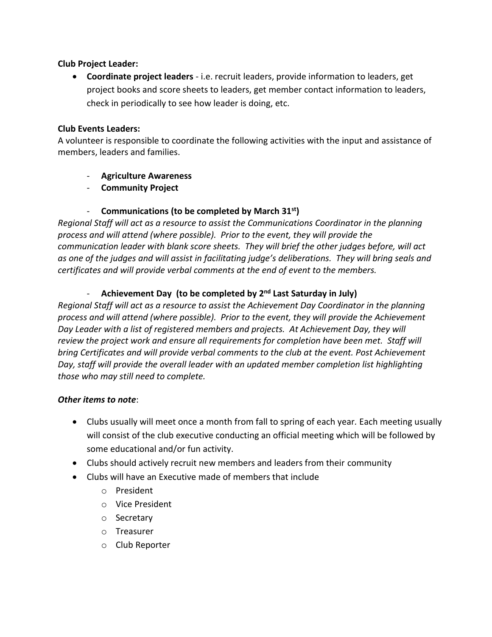## **Club Project Leader:**

• **Coordinate project leaders** - i.e. recruit leaders, provide information to leaders, get project books and score sheets to leaders, get member contact information to leaders, check in periodically to see how leader is doing, etc.

# **Club Events Leaders:**

A volunteer is responsible to coordinate the following activities with the input and assistance of members, leaders and families.

- **Agriculture Awareness**
- **Community Project**

# - **Communications (to be completed by March 31st)**

*Regional Staff will act as a resource to assist the Communications Coordinator in the planning process and will attend (where possible). Prior to the event, they will provide the communication leader with blank score sheets. They will brief the other judges before, will act as one of the judges and will assist in facilitating judge's deliberations. They will bring seals and certificates and will provide verbal comments at the end of event to the members.* 

# **Achievement Day (to be completed by 2<sup>nd</sup> Last Saturday in July)**

*Regional Staff will act as a resource to assist the Achievement Day Coordinator in the planning process and will attend (where possible). Prior to the event, they will provide the Achievement Day Leader with a list of registered members and projects. At Achievement Day, they will review the project work and ensure all requirements for completion have been met. Staff will bring Certificates and will provide verbal comments to the club at the event. Post Achievement Day, staff will provide the overall leader with an updated member completion list highlighting those who may still need to complete.*

# *Other items to note*:

- Clubs usually will meet once a month from fall to spring of each year*.* Each meeting usually will consist of the club executive conducting an official meeting which will be followed by some educational and/or fun activity.
- Clubs should actively recruit new members and leaders from their community
- Clubs will have an Executive made of members that include
	- o President
	- o Vice President
	- o Secretary
	- o Treasurer
	- o Club Reporter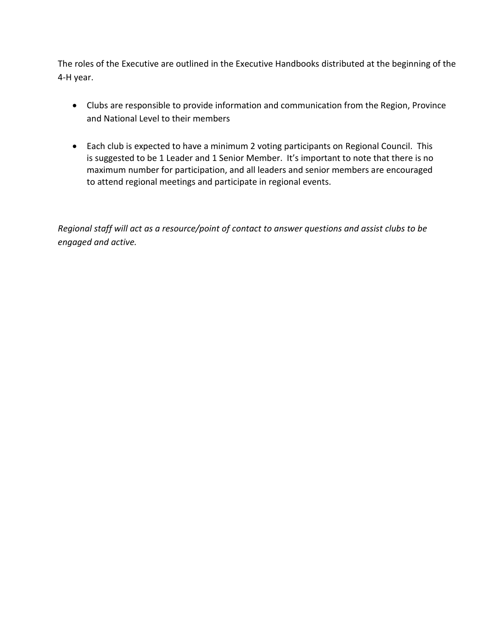The roles of the Executive are outlined in the Executive Handbooks distributed at the beginning of the 4-H year.

- Clubs are responsible to provide information and communication from the Region, Province and National Level to their members
- Each club is expected to have a minimum 2 voting participants on Regional Council. This is suggested to be 1 Leader and 1 Senior Member. It's important to note that there is no maximum number for participation, and all leaders and senior members are encouraged to attend regional meetings and participate in regional events.

*Regional staff will act as a resource/point of contact to answer questions and assist clubs to be engaged and active.*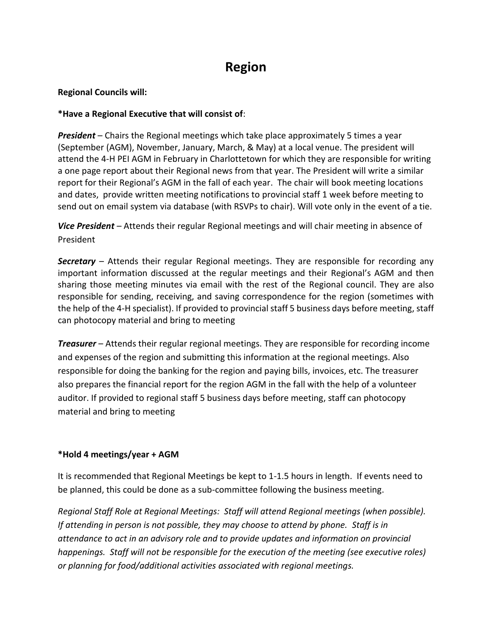# **Region**

### **Regional Councils will:**

### **\*Have a Regional Executive that will consist of**:

*President* – Chairs the Regional meetings which take place approximately 5 times a year (September (AGM), November, January, March, & May) at a local venue. The president will attend the 4-H PEI AGM in February in Charlottetown for which they are responsible for writing a one page report about their Regional news from that year. The President will write a similar report for their Regional's AGM in the fall of each year. The chair will book meeting locations and dates, provide written meeting notifications to provincial staff 1 week before meeting to send out on email system via database (with RSVPs to chair). Will vote only in the event of a tie.

*Vice President* – Attends their regular Regional meetings and will chair meeting in absence of President

**Secretary** – Attends their regular Regional meetings. They are responsible for recording any important information discussed at the regular meetings and their Regional's AGM and then sharing those meeting minutes via email with the rest of the Regional council. They are also responsible for sending, receiving, and saving correspondence for the region (sometimes with the help of the 4-H specialist). If provided to provincial staff 5 business days before meeting, staff can photocopy material and bring to meeting

*Treasurer* – Attends their regular regional meetings. They are responsible for recording income and expenses of the region and submitting this information at the regional meetings. Also responsible for doing the banking for the region and paying bills, invoices, etc. The treasurer also prepares the financial report for the region AGM in the fall with the help of a volunteer auditor. If provided to regional staff 5 business days before meeting, staff can photocopy material and bring to meeting

## **\*Hold 4 meetings/year + AGM**

It is recommended that Regional Meetings be kept to 1-1.5 hours in length. If events need to be planned, this could be done as a sub-committee following the business meeting.

*Regional Staff Role at Regional Meetings: Staff will attend Regional meetings (when possible). If attending in person is not possible, they may choose to attend by phone. Staff is in attendance to act in an advisory role and to provide updates and information on provincial happenings. Staff will not be responsible for the execution of the meeting (see executive roles) or planning for food/additional activities associated with regional meetings.*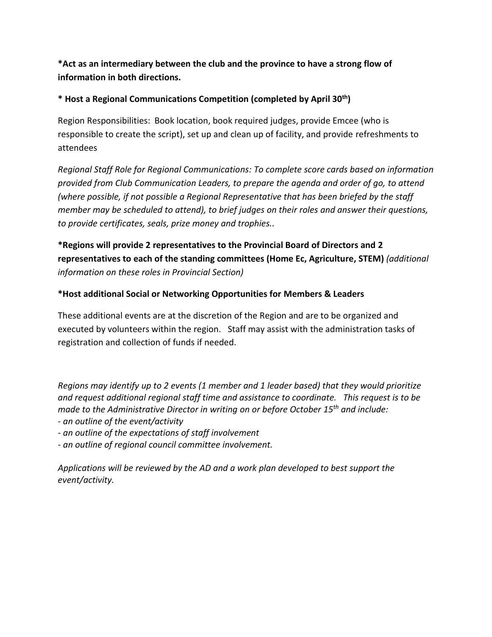**\*Act as an intermediary between the club and the province to have a strong flow of information in both directions.**

## **\* Host a Regional Communications Competition (completed by April 30th)**

Region Responsibilities: Book location, book required judges, provide Emcee (who is responsible to create the script), set up and clean up of facility, and provide refreshments to attendees

*Regional Staff Role for Regional Communications: To complete score cards based on information provided from Club Communication Leaders, to prepare the agenda and order of go, to attend (where possible, if not possible a Regional Representative that has been briefed by the staff member may be scheduled to attend), to brief judges on their roles and answer their questions, to provide certificates, seals, prize money and trophies..*

**\*Regions will provide 2 representatives to the Provincial Board of Directors and 2 representatives to each of the standing committees (Home Ec, Agriculture, STEM)** *(additional information on these roles in Provincial Section)*

# **\*Host additional Social or Networking Opportunities for Members & Leaders**

These additional events are at the discretion of the Region and are to be organized and executed by volunteers within the region. Staff may assist with the administration tasks of registration and collection of funds if needed.

*Regions may identify up to 2 events (1 member and 1 leader based) that they would prioritize and request additional regional staff time and assistance to coordinate. This request is to be made to the Administrative Director in writing on or before October 15 th and include: - an outline of the event/activity*

- *- an outline of the expectations of staff involvement*
- *- an outline of regional council committee involvement.*

*Applications will be reviewed by the AD and a work plan developed to best support the event/activity.*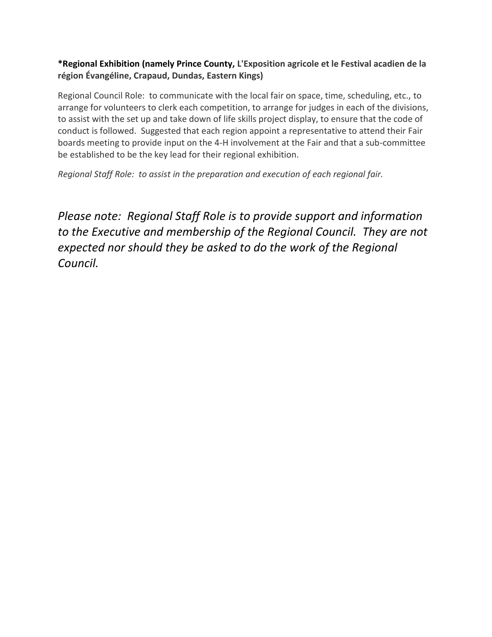# **\*Regional Exhibition (namely Prince County, L'Exposition agricole et le Festival acadien de la région Évangéline, Crapaud, Dundas, Eastern Kings)**

Regional Council Role: to communicate with the local fair on space, time, scheduling, etc., to arrange for volunteers to clerk each competition, to arrange for judges in each of the divisions, to assist with the set up and take down of life skills project display, to ensure that the code of conduct is followed. Suggested that each region appoint a representative to attend their Fair boards meeting to provide input on the 4-H involvement at the Fair and that a sub-committee be established to be the key lead for their regional exhibition.

*Regional Staff Role: to assist in the preparation and execution of each regional fair.* 

*Please note: Regional Staff Role is to provide support and information to the Executive and membership of the Regional Council. They are not expected nor should they be asked to do the work of the Regional Council.*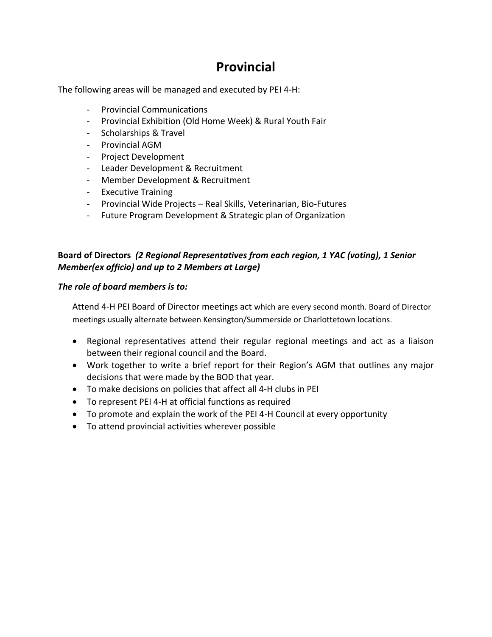# **Provincial**

The following areas will be managed and executed by PEI 4-H:

- Provincial Communications
- Provincial Exhibition (Old Home Week) & Rural Youth Fair
- Scholarships & Travel
- Provincial AGM
- Project Development
- Leader Development & Recruitment
- Member Development & Recruitment
- Executive Training
- Provincial Wide Projects Real Skills, Veterinarian, Bio-Futures
- Future Program Development & Strategic plan of Organization

# **Board of Directors** *(2 Regional Representatives from each region, 1 YAC (voting), 1 Senior Member(ex officio) and up to 2 Members at Large)*

## *The role of board members is to:*

Attend 4-H PEI Board of Director meetings act which are every second month. Board of Director meetings usually alternate between Kensington/Summerside or Charlottetown locations.

- Regional representatives attend their regular regional meetings and act as a liaison between their regional council and the Board.
- Work together to write a brief report for their Region's AGM that outlines any major decisions that were made by the BOD that year.
- To make decisions on policies that affect all 4-H clubs in PEI
- To represent PEI 4-H at official functions as required
- To promote and explain the work of the PEI 4-H Council at every opportunity
- To attend provincial activities wherever possible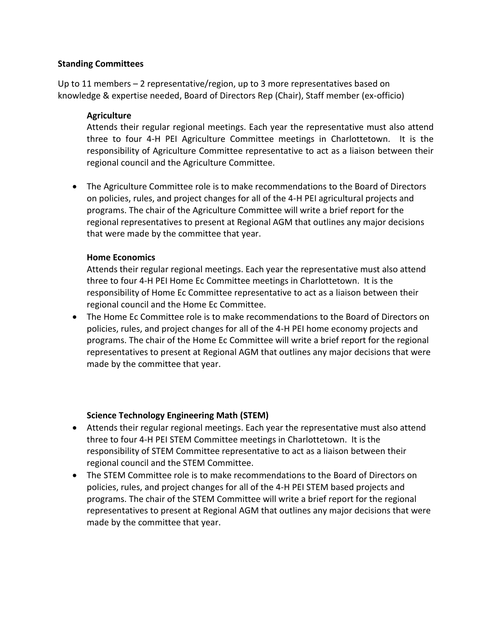#### **Standing Committees**

Up to 11 members – 2 representative/region, up to 3 more representatives based on knowledge & expertise needed, Board of Directors Rep (Chair), Staff member (ex-officio)

### **Agriculture**

Attends their regular regional meetings. Each year the representative must also attend three to four 4-H PEI Agriculture Committee meetings in Charlottetown. It is the responsibility of Agriculture Committee representative to act as a liaison between their regional council and the Agriculture Committee.

• The Agriculture Committee role is to make recommendations to the Board of Directors on policies, rules, and project changes for all of the 4-H PEI agricultural projects and programs. The chair of the Agriculture Committee will write a brief report for the regional representatives to present at Regional AGM that outlines any major decisions that were made by the committee that year.

### **Home Economics**

Attends their regular regional meetings. Each year the representative must also attend three to four 4-H PEI Home Ec Committee meetings in Charlottetown. It is the responsibility of Home Ec Committee representative to act as a liaison between their regional council and the Home Ec Committee.

• The Home Ec Committee role is to make recommendations to the Board of Directors on policies, rules, and project changes for all of the 4-H PEI home economy projects and programs. The chair of the Home Ec Committee will write a brief report for the regional representatives to present at Regional AGM that outlines any major decisions that were made by the committee that year.

## **Science Technology Engineering Math (STEM)**

- Attends their regular regional meetings. Each year the representative must also attend three to four 4-H PEI STEM Committee meetings in Charlottetown. It is the responsibility of STEM Committee representative to act as a liaison between their regional council and the STEM Committee.
- The STEM Committee role is to make recommendations to the Board of Directors on policies, rules, and project changes for all of the 4-H PEI STEM based projects and programs. The chair of the STEM Committee will write a brief report for the regional representatives to present at Regional AGM that outlines any major decisions that were made by the committee that year.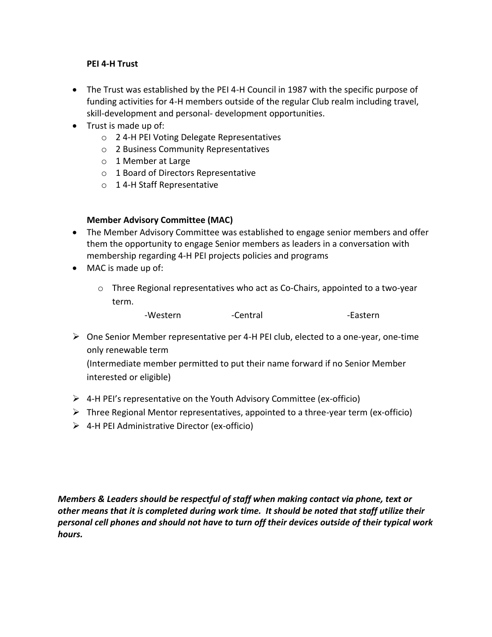#### **PEI 4-H Trust**

- The Trust was established by the PEI 4-H Council in 1987 with the specific purpose of funding activities for 4-H members outside of the regular Club realm including travel, skill-development and personal- development opportunities.
- Trust is made up of:
	- o 2 4-H PEI Voting Delegate Representatives
	- o 2 Business Community Representatives
	- o 1 Member at Large
	- o 1 Board of Directors Representative
	- o 1 4-H Staff Representative

#### **Member Advisory Committee (MAC)**

- The Member Advisory Committee was established to engage senior members and offer them the opportunity to engage Senior members as leaders in a conversation with membership regarding 4-H PEI projects policies and programs
- MAC is made up of:
	- o Three Regional representatives who act as Co-Chairs, appointed to a two-year term.

| -Western | -Central | -Eastern |
|----------|----------|----------|
|----------|----------|----------|

 $\triangleright$  One Senior Member representative per 4-H PEI club, elected to a one-year, one-time only renewable term

(Intermediate member permitted to put their name forward if no Senior Member interested or eligible)

- ➢ 4-H PEI's representative on the Youth Advisory Committee (ex-officio)
- $\triangleright$  Three Regional Mentor representatives, appointed to a three-year term (ex-officio)
- ➢ 4-H PEI Administrative Director (ex-officio)

*Members & Leaders should be respectful of staff when making contact via phone, text or other means that it is completed during work time. It should be noted that staff utilize their personal cell phones and should not have to turn off their devices outside of their typical work hours.*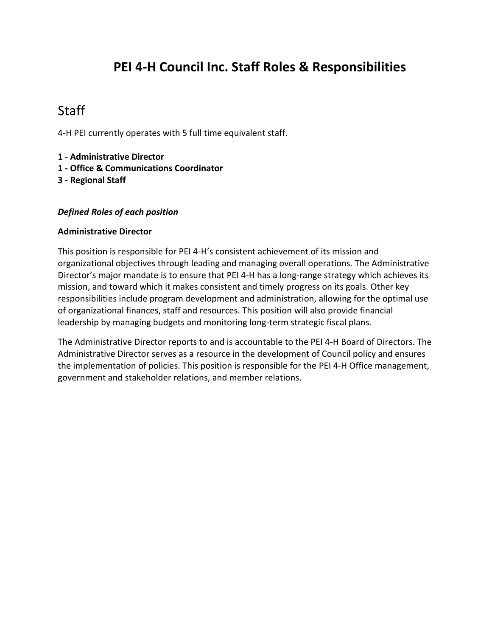# **PEI 4-H Council Inc. Staff Roles & Responsibilities**

# **Staff**

4-H PEI currently operates with 5 full time equivalent staff.

- **1 - Administrative Director**
- **1 - Office & Communications Coordinator**
- **3 - Regional Staff**

#### *Defined Roles of each position*

#### **Administrative Director**

This position is responsible for PEI 4-H's consistent achievement of its mission and organizational objectives through leading and managing overall operations. The Administrative Director's major mandate is to ensure that PEI 4-H has a long-range strategy which achieves its mission, and toward which it makes consistent and timely progress on its goals. Other key responsibilities include program development and administration, allowing for the optimal use of organizational finances, staff and resources. This position will also provide financial leadership by managing budgets and monitoring long-term strategic fiscal plans.

The Administrative Director reports to and is accountable to the PEI 4-H Board of Directors. The Administrative Director serves as a resource in the development of Council policy and ensures the implementation of policies. This position is responsible for the PEI 4-H Office management, government and stakeholder relations, and member relations.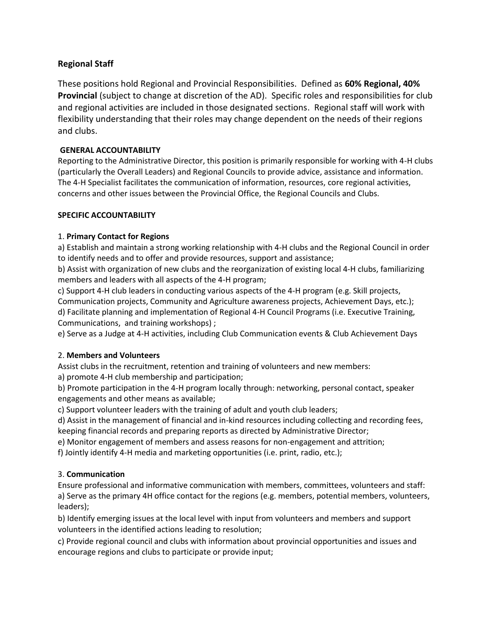### **Regional Staff**

These positions hold Regional and Provincial Responsibilities. Defined as **60% Regional, 40% Provincial** (subject to change at discretion of the AD). Specific roles and responsibilities for club and regional activities are included in those designated sections. Regional staff will work with flexibility understanding that their roles may change dependent on the needs of their regions and clubs.

#### **GENERAL ACCOUNTABILITY**

Reporting to the Administrative Director, this position is primarily responsible for working with 4-H clubs (particularly the Overall Leaders) and Regional Councils to provide advice, assistance and information. The 4-H Specialist facilitates the communication of information, resources, core regional activities, concerns and other issues between the Provincial Office, the Regional Councils and Clubs.

#### **SPECIFIC ACCOUNTABILITY**

#### 1. **Primary Contact for Regions**

a) Establish and maintain a strong working relationship with 4-H clubs and the Regional Council in order to identify needs and to offer and provide resources, support and assistance;

b) Assist with organization of new clubs and the reorganization of existing local 4-H clubs, familiarizing members and leaders with all aspects of the 4-H program;

c) Support 4-H club leaders in conducting various aspects of the 4-H program (e.g. Skill projects, Communication projects, Community and Agriculture awareness projects, Achievement Days, etc.); d) Facilitate planning and implementation of Regional 4-H Council Programs (i.e. Executive Training, Communications, and training workshops) ;

e) Serve as a Judge at 4-H activities, including Club Communication events & Club Achievement Days

#### 2. **Members and Volunteers**

Assist clubs in the recruitment, retention and training of volunteers and new members:

a) promote 4-H club membership and participation;

b) Promote participation in the 4-H program locally through: networking, personal contact, speaker engagements and other means as available;

c) Support volunteer leaders with the training of adult and youth club leaders;

d) Assist in the management of financial and in-kind resources including collecting and recording fees, keeping financial records and preparing reports as directed by Administrative Director;

e) Monitor engagement of members and assess reasons for non-engagement and attrition;

f) Jointly identify 4-H media and marketing opportunities (i.e. print, radio, etc.);

#### 3. **Communication**

Ensure professional and informative communication with members, committees, volunteers and staff: a) Serve as the primary 4H office contact for the regions (e.g. members, potential members, volunteers, leaders);

b) Identify emerging issues at the local level with input from volunteers and members and support volunteers in the identified actions leading to resolution;

c) Provide regional council and clubs with information about provincial opportunities and issues and encourage regions and clubs to participate or provide input;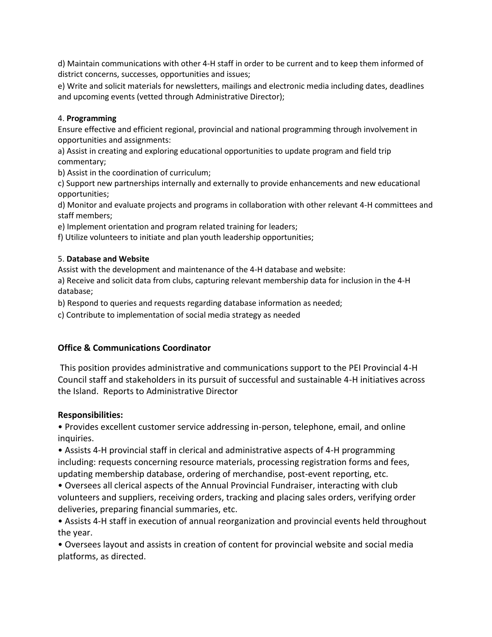d) Maintain communications with other 4-H staff in order to be current and to keep them informed of district concerns, successes, opportunities and issues;

e) Write and solicit materials for newsletters, mailings and electronic media including dates, deadlines and upcoming events (vetted through Administrative Director);

#### 4. **Programming**

Ensure effective and efficient regional, provincial and national programming through involvement in opportunities and assignments:

a) Assist in creating and exploring educational opportunities to update program and field trip commentary;

b) Assist in the coordination of curriculum;

c) Support new partnerships internally and externally to provide enhancements and new educational opportunities;

d) Monitor and evaluate projects and programs in collaboration with other relevant 4-H committees and staff members;

e) Implement orientation and program related training for leaders;

f) Utilize volunteers to initiate and plan youth leadership opportunities;

#### 5. **Database and Website**

Assist with the development and maintenance of the 4-H database and website:

a) Receive and solicit data from clubs, capturing relevant membership data for inclusion in the 4-H database;

b) Respond to queries and requests regarding database information as needed;

c) Contribute to implementation of social media strategy as needed

#### **Office & Communications Coordinator**

This position provides administrative and communications support to the PEI Provincial 4-H Council staff and stakeholders in its pursuit of successful and sustainable 4-H initiatives across the Island. Reports to Administrative Director

#### **Responsibilities:**

• Provides excellent customer service addressing in-person, telephone, email, and online inquiries.

• Assists 4-H provincial staff in clerical and administrative aspects of 4-H programming including: requests concerning resource materials, processing registration forms and fees, updating membership database, ordering of merchandise, post-event reporting, etc.

• Oversees all clerical aspects of the Annual Provincial Fundraiser, interacting with club volunteers and suppliers, receiving orders, tracking and placing sales orders, verifying order deliveries, preparing financial summaries, etc.

• Assists 4-H staff in execution of annual reorganization and provincial events held throughout the year.

• Oversees layout and assists in creation of content for provincial website and social media platforms, as directed.